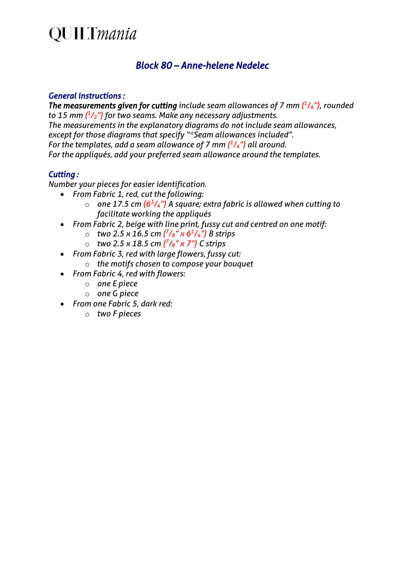## **QUILTmania**

### *Block 80 – Anne-helene Nedelec*

#### *General instructions :*

*The measurements given for cutting include seam allowances of 7 mm*  $(^{1}/_{4}$ *"), rounded to 15 mm ( 1/2") for two seams. Make any necessary adjustments. The measurements in the explanatory diagrams do not include seam allowances, except for those diagrams that specify "\*Seam allowances included". For the templates, add a seam allowance of 7 mm ( 1/4") all around. For the appliqués, add your preferred seam allowance around the templates.*

#### *Cutting :*

*Number your pieces for easier identification.*

- *From Fabric 1, red, cut the following:*
	- $\circ$  one 17.5 cm ( $6^{3}/_{4}$ ") A square; extra fabric is allowed when cutting to *facilitate working the appliqués*
- *From Fabric 2, beige with line print, fussy cut and centred on one motif:*
	- o *two 2.5 x 16.5 cm ( 7/8" x 61/4") B strips*
		- o *two 2.5 x 18.5 cm ( 7/8" x 7") C strips*
- *From Fabric 3, red with large flowers, fussy cut:*
	- o *the motifs chosen to compose your bouquet*
- *From Fabric 4, red with flowers:*
	- o *one E piece*
	- o *one G piece*
- *From one Fabric 5, dark red:*
	- o *two F pieces*